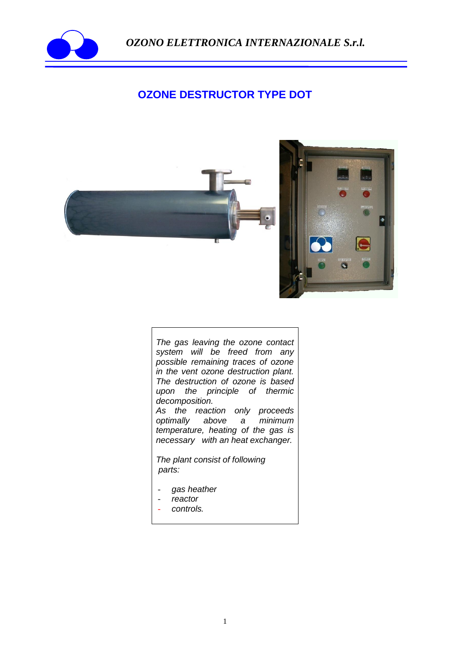

 *OZONO ELETTRONICA INTERNAZIONALE S.r.l.*

## **OZONE DESTRUCTOR TYPE DOT**



*The gas leaving the ozone contact system will be freed from any possible remaining traces of ozone in the vent ozone destruction plant. The destruction of ozone is based upon the principle of thermic decomposition.*

*As the reaction only proceeds optimally above a minimum temperature, heating of the gas is necessary with an heat exchanger.* 

*The plant consist of following parts:*

- *gas heather*
- *reactor*
- *controls.*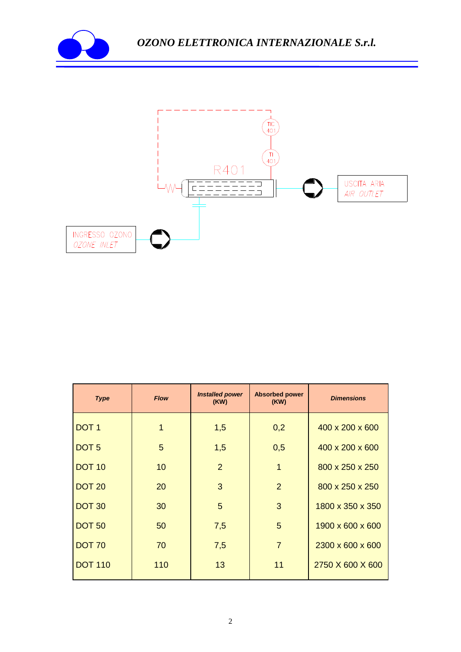



| <b>Type</b>      | <b>Flow</b> | <b>Installed power</b><br>(KW) | <b>Absorbed power</b><br>(KW) | <b>Dimensions</b> |
|------------------|-------------|--------------------------------|-------------------------------|-------------------|
| DOT <sub>1</sub> | 1           | 1,5                            | 0,2                           | 400 x 200 x 600   |
| DOT <sub>5</sub> | 5           | 1,5                            | 0,5                           | 400 x 200 x 600   |
| <b>DOT 10</b>    | 10          | $\overline{2}$                 | $\overline{1}$                | 800 x 250 x 250   |
| <b>DOT 20</b>    | 20          | 3                              | 2                             | 800 x 250 x 250   |
| <b>DOT 30</b>    | 30          | 5                              | 3                             | 1800 x 350 x 350  |
| <b>DOT 50</b>    | 50          | 7,5                            | 5                             | 1900 x 600 x 600  |
| <b>DOT 70</b>    | 70          | 7,5                            | $\overline{7}$                | 2300 x 600 x 600  |
| <b>DOT 110</b>   | 110         | 13                             | 11                            | 2750 X 600 X 600  |
|                  |             |                                |                               |                   |